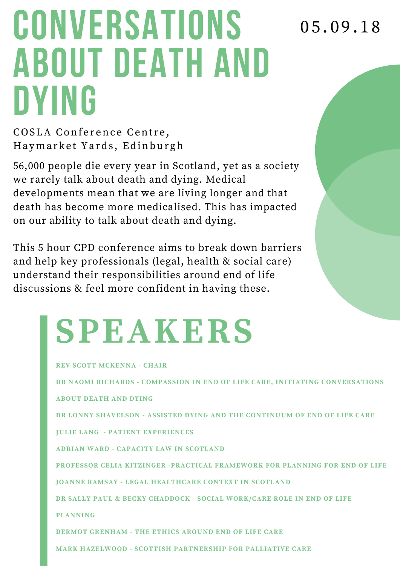## **CONVERSATIONS** ABOUT DEATH AND DYING

0 5 . 0 9 . 1 8

COSLA Conference Centre, Haymarket Yards, Edinburgh

56,000 people die every year in Scotland, yet as a society we rarely talk about death and dying. Medical developments mean that we are living longer and that death has become more medicalised. This has impacted on our ability to talk about death and dying.

This 5 hour CPD conference aims to break down barriers and help key professionals (legal, health & social care) understand their responsibilities around end of life discussions & feel more confident in having these.

## **SPEAKERS**

| <b>REV SCOTT MCKENNA - CHAIR</b>                                             |
|------------------------------------------------------------------------------|
| DR NAOMI RICHARDS - COMPASSION IN END OF LIFE CARE, INITIATING CONVERSATIONS |
| <b>ABOUT DEATH AND DYING</b>                                                 |
| DR LONNY SHAVELSON - ASSISTED DYING AND THE CONTINUUM OF END OF LIFE CARE    |
| <b>JULIE LANG - PATIENT EXPERIENCES</b>                                      |
| ADRIAN WARD - CAPACITY LAW IN SCOTLAND                                       |
| PROFESSOR CELIA KITZINGER -PRACTICAL FRAMEWORK FOR PLANNING FOR END OF LIFE  |
| <b>JOANNE RAMSAY - LEGAL HEALTHCARE CONTEXT IN SCOTLAND</b>                  |
| DR SALLY PAUL & BECKY CHADDOCK - SOCIAL WORK/CARE ROLE IN END OF LIFE        |
| <b>PLANNING</b>                                                              |
| <b>DERMOT GRENHAM - THE ETHICS AROUND END OF LIFE CARE</b>                   |
| <b>MARK HAZELWOOD - SCOTTISH PARTNERSHIP FOR PALLIATIVE CARE</b>             |